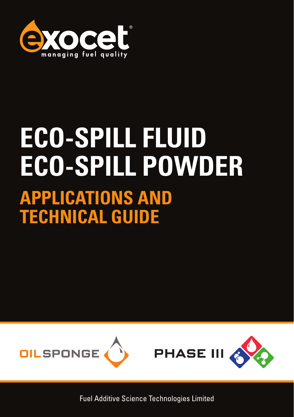

# **ECO-SPILL FLUID ECO-SPILL POWDER APPLICATIONS AND TECHNICAL GUIDE**



Fuel Additive Science Technologies Limited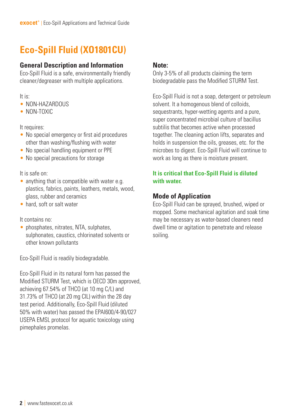# **Eco-Spill Fluid (XO1801CU)**

#### **General Description and Information**

Eco-Spill Fluid is a safe, environmentally friendly cleaner/degreaser with multiple applications.

It is:

- NON-HAZARDOUS
- NON-TOXIC

It requires:

- No special emergency or first aid procedures other than washing/flushing with water
- No special handling equipment or PPE
- No special precautions for storage

It is safe on:

- anything that is compatible with water e.g. plastics, fabrics, paints, leathers, metals, wood, glass, rubber and ceramics
- hard, soft or salt water

It contains no:

• phosphates, nitrates, NTA, sulphates, sulphonates, caustics, chlorinated solvents or other known pollutants

Eco-Spill Fluid is readily biodegradable.

Eco-Spill Fluid in its natural form has passed the Modified STURM Test, which is OECD 30m approved, achieving 67.54% of THCO (at 10 mg C/L) and 31.73% of THCO (at 20 mg CIL) within the 28 day test period. Additionally, Eco-Spill Fluid (diluted 50% with water) has passed the EPAl600/4-90/027 USEPA EMSL protocol for aquatic toxicology using pimephales promelas.

#### **Note:**

Only 3-5% of all products claiming the term biodegradable pass the Modified STURM Test.

Eco-Spill Fluid is not a soap, detergent or petroleum solvent. It a homogenous blend of colloids, sequestrants, hyper-wetting agents and a pure, super concentrated microbial culture of bacillus subtilis that becomes active when processed together. The cleaning action lifts, separates and holds in suspension the oils, greases, etc. for the microbes to digest. Eco-Spill Fluid will continue to work as long as there is moisture present.

#### **It is critical that Eco-Spill Fluid is diluted with water.**

# **Mode of Application**

Eco-Spill Fluid can be sprayed, brushed, wiped or mopped. Some mechanical agitation and soak time may be necessary as water-based cleaners need dwell time or agitation to penetrate and release soiling.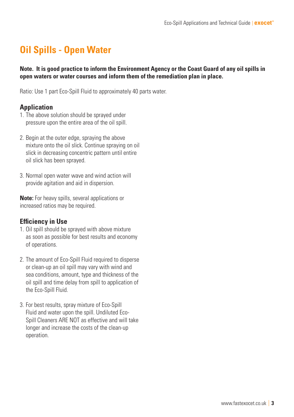# **Oil Spills - Open Water**

#### **Note. It is good practice to inform the Environment Agency or the Coast Guard of any oil spills in open waters or water courses and inform them of the remediation plan in place.**

Ratio: Use 1 part Eco-Spill Fluid to approximately 40 parts water.

# **Application**

- 1. The above solution should be sprayed under pressure upon the entire area of the oil spill.
- 2. Begin at the outer edge, spraying the above mixture onto the oil slick. Continue spraying on oil slick in decreasing concentric pattern until entire oil slick has been sprayed.
- 3. Normal open water wave and wind action will provide agitation and aid in dispersion.

**Note:** For heavy spills, several applications or increased ratios may be required.

# **Efficiency in Use**

- 1. Oil spill should be sprayed with above mixture as soon as possible for best results and economy of operations.
- 2. The amount of Eco-Spill Fluid required to disperse or clean-up an oil spill may vary with wind and sea conditions, amount, type and thickness of the oil spill and time delay from spill to application of the Eco-Spill Fluid.
- 3. For best results, spray mixture of Eco-Spill Fluid and water upon the spill. Undiluted Eco-Spill Cleaners ARE NOT as effective and will take longer and increase the costs of the clean-up operation.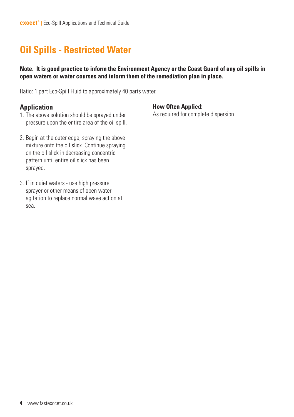# **Oil Spills - Restricted Water**

**Note. It is good practice to inform the Environment Agency or the Coast Guard of any oil spills in open waters or water courses and inform them of the remediation plan in place.** 

Ratio: 1 part Eco-Spill Fluid to approximately 40 parts water.

#### **Application**

- 1. The above solution should be sprayed under pressure upon the entire area of the oil spill.
- 2. Begin at the outer edge, spraying the above mixture onto the oil slick. Continue spraying on the oil slick in decreasing concentric pattern until entire oil slick has been sprayed.
- 3. If in quiet waters use high pressure sprayer or other means of open water agitation to replace normal wave action at sea.

**How Often Applied:** As required for complete dispersion.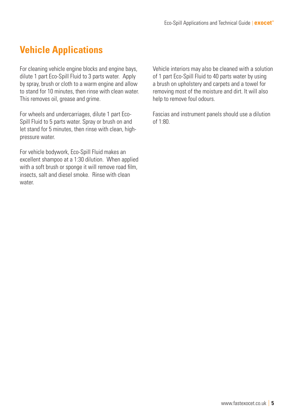# **Vehicle Applications**

For cleaning vehicle engine blocks and engine bays, dilute 1 part Eco-Spill Fluid to 3 parts water. Apply by spray, brush or cloth to a warm engine and allow to stand for 10 minutes, then rinse with clean water. This removes oil, grease and grime.

For wheels and undercarriages, dilute 1 part Eco-Spill Fluid to 5 parts water. Spray or brush on and let stand for 5 minutes, then rinse with clean, highpressure water.

For vehicle bodywork, Eco-Spill Fluid makes an excellent shampoo at a 1:30 dilution. When applied with a soft brush or sponge it will remove road film. insects, salt and diesel smoke. Rinse with clean water.

Vehicle interiors may also be cleaned with a solution of 1 part Eco-Spill Fluid to 40 parts water by using a brush on upholstery and carpets and a towel for removing most of the moisture and dirt. It will also help to remove foul odours.

Fascias and instrument panels should use a dilution of 1:80.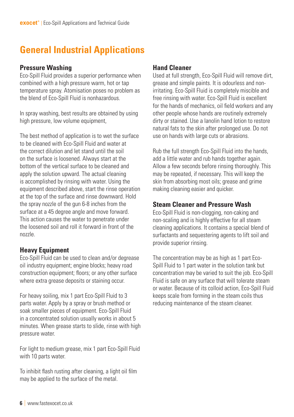# **General Industrial Applications**

### **Pressure Washing**

Eco-Spill Fluid provides a superior performance when combined with a high pressure warm, hot or tap temperature spray. Atomisation poses no problem as the blend of Eco-Spill Fluid is nonhazardous.

In spray washing, best results are obtained by using high pressure, low volume equipment

The best method of application is to wet the surface to be cleaned with Eco-Spill Fluid and water at the correct dilution and let stand until the soil on the surface is loosened. Always start at the bottom of the vertical surface to be cleaned and apply the solution upward. The actual cleaning is accomplished by rinsing with water. Using the equipment described above, start the rinse operation at the top of the surface and rinse downward. Hold the spray nozzle of the gun 6-8 inches from the surface at a 45 degree angle and move forward. This action causes the water to penetrate under the loosened soil and roll it forward in front of the nozzle.

#### **Heavy Equipment**

Eco-Spill Fluid can be used to clean and/or degrease oil industry equipment; engine blocks; heavy road construction equipment; floors; or any other surface where extra grease deposits or staining occur.

For heavy soiling, mix 1 part Eco-Spill Fluid to 3 parts water. Apply by a spray or brush method or soak smaller pieces of equipment. Eco-Spill Fluid in a concentrated solution usually works in about 5 minutes. When grease starts to slide, rinse with high pressure water.

For light to medium grease, mix 1 part Eco-Spill Fluid with 10 parts water.

To inhibit flash rusting after cleaning, a light oil film may be applied to the surface of the metal.

# **Hand Cleaner**

Used at full strength, Eco-Spill Fluid will remove dirt, grease and simple paints. It is odourless and nonirritating. Eco-Spill Fluid is completely miscible and free rinsing with water. Eco-Spill Fluid is excellent for the hands of mechanics, oil field workers and any other people whose hands are routinely extremely dirty or stained. Use a lanolin hand lotion to restore natural fats to the skin after prolonged use. Do not use on hands with large cuts or abrasions.

Rub the full strength Eco-Spill Fluid into the hands, add a little water and rub hands together again. Allow a few seconds before rinsing thoroughly. This may be repeated, if necessary. This will keep the skin from absorbing most oils; grease and grime making cleaning easier and quicker.

# **Steam Cleaner and Pressure Wash**

Eco-Spill Fluid is non-clogging, non-caking and non-scaling and is highly effective for all steam cleaning applications. It contains a special blend of surfactants and sequestering agents to lift soil and provide superior rinsing.

The concentration may be as high as 1 part Eco-Spill Fluid to 1 part water in the solution tank but concentration may be varied to suit the job. Eco-Spill Fluid is safe on any surface that will tolerate steam or water. Because of its colloid action, Eco-Spill Fluid keeps scale from forming in the steam coils thus reducing maintenance of the steam cleaner.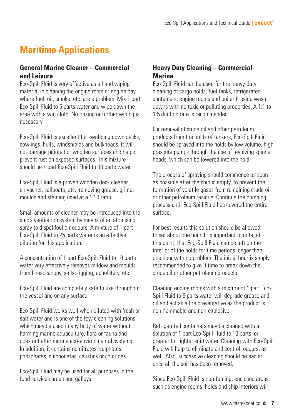# **Maritime Applications**

# **General Marine Cleaner – Commercial and Leisure**

Eco-Spill Fluid is very effective as a hand wiping material in cleaning the engine room or engine bay where fuel, oil, smoke, etc. are a problem. Mix 1 part Eco-Spill Fluid to 5 parts water and wipe down the area with a wet cloth. No rinsing or further wiping is necessary.

Eco-Spill Fluid is excellent for swabbing down decks, cowlings, hulls, windshields and bulkheads. It will not damage painted or wooden surfaces and helps prevent rust on exposed surfaces. This mixture should be 1 part Eco-Spill Fluid to 30 parts water

Eco-Spill Fluid is a proven wooden deck cleaner on yachts, sailboats, etc., removing grease, grime, moulds and staining used at a 1:10 ratio.

Small amounts of cleaner may be introduced into the ship's ventilation system by means of an atomising spray to dispel foul air odours. A mixture of 1 part Eco-Spill Fluid to 25 parts water is an effective dilution for this application.

A concentration of 1 part Eco-Spill Fluid to 10 parts water very effectively removes mildew and moulds from lines, canopy, sails, rigging, upholstery, etc.

Eco-Spill Fluid are completely safe to use throughout the vessel and on any surface.

Eco-Spill Fluid works well when diluted with fresh or salt water and is one of the few cleaning solutions which may be used in any body of water without harming marine aquaculture, flora or fauna and does not alter marine eco-environmental systems. In addition, it contains no nitrates, sulphates, phosphates, sulphonates, caustics or chlorides.

Eco-Spill Fluid may be used for all purposes in the food services areas and galleys.

# **Heavy Duty Cleaning – Commercial Marine**

Eco-Spill Fluid can be used for the heavy-duty cleaning of cargo holds, fuel tanks, refrigerated containers, engine rooms and boiler fireside wash downs with no toxic or polluting properties. A 1:1 to 1:5 dilution rate is recommended.

For removal of crude oil and other petroleum products from the holds of tankers, Eco-Spill Fluid should be sprayed into the holds by low volume, high pressure pumps through the use of revolving spinner heads, which can be lowered into the hold.

The process of spraying should commence as soon as possible after the ship is empty, to prevent the formation of volatile gases from remaining crude oil or other petroleum residue. Continue the pumping process until Eco-Spill Fluid has covered the entire surface.

For best results this solution should be allowed to set about one hour. It is important to note, at this point, that Eco-Spill Fluid can be left on the interior of the holds for time periods longer than one hour with no problem. The initial hour is simply recommended to give it time to break down the crude oil or other petroleum products.

Cleaning engine rooms with a mixture of 1 part Eco-Spill Fluid to 5 parts water will degrade grease and oil and act as a fire preventative as the product is non-flammable and non-explosive.

Refrigerated containers may be cleaned with a solution of 1 part Eco-Spill Fluid to 10 parts (or greater for lighter soil) water. Cleaning with Eco-Spill Fluid will help to eliminate and control odours, as well. Also, successive cleaning should be easier once all the soil has been removed.

Since Eco-Spill Fluid is non-fuming, enclosed areas such as engine rooms, holds and ship interiors will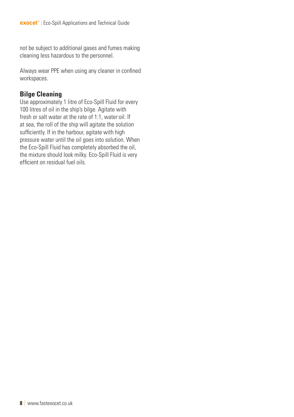not be subject to additional gases and fumes making cleaning less hazardous to the personnel.

Always wear PPE when using any cleaner in confined workspaces.

# **Bilge Cleaning**

Use approximately 1 litre of Eco-Spill Fluid for every 100 litres of oil in the ship's bilge. Agitate with fresh or salt water at the rate of 1:1, water:oil. If at sea, the roll of the ship will agitate the solution sufficiently. If in the harbour, agitate with high pressure water until the oil goes into solution. When the Eco-Spill Fluid has completely absorbed the oil, the mixture should look milky. Eco-Spill Fluid is very efficient on residual fuel oils.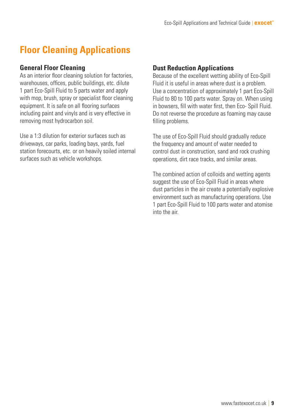# **Floor Cleaning Applications**

# **General Floor Cleaning**

As an interior floor cleaning solution for factories. warehouses, offices, public buildings, etc. dilute 1 part Eco-Spill Fluid to 5 parts water and apply with mop, brush, spray or specialist floor cleaning equipment. It is safe on all flooring surfaces including paint and vinyls and is very effective in removing most hydrocarbon soil.

Use a 1:3 dilution for exterior surfaces such as driveways, car parks, loading bays, yards, fuel station forecourts, etc. or on heavily soiled internal surfaces such as vehicle workshops.

# **Dust Reduction Applications**

Because of the excellent wetting ability of Eco-Spill Fluid it is useful in areas where dust is a problem. Use a concentration of approximately 1 part Eco-Spill Fluid to 80 to 100 parts water. Spray on. When using in bowsers, fill with water first, then Eco- Spill Fluid. Do not reverse the procedure as foaming may cause filling problems.

The use of Eco-Spill Fluid should gradually reduce the frequency and amount of water needed to control dust in construction, sand and rock crushing operations, dirt race tracks, and similar areas.

The combined action of colloids and wetting agents suggest the use of Eco-Spill Fluid in areas where dust particles in the air create a potentially explosive environment such as manufacturing operations. Use 1 part Eco-Spill Fluid to 100 parts water and atomise into the air.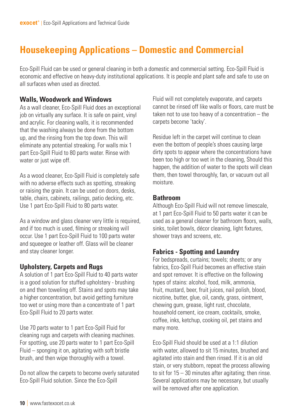# **Housekeeping Applications – Domestic and Commercial**

Eco-Spill Fluid can be used or general cleaning in both a domestic and commercial setting. Eco-Spill Fluid is economic and effective on heavy-duty institutional applications. It is people and plant safe and safe to use on all surfaces when used as directed.

#### **Walls, Woodwork and Windows**

As a wall cleaner, Eco-Spill Fluid does an exceptional job on virtually any surface. It is safe on paint, vinyl and acrylic. For cleaning walls, it is recommended that the washing always be done from the bottom up, and the rinsing from the top down. This will eliminate any potential streaking. For walls mix 1 part Eco-Spill Fluid to 80 parts water. Rinse with water or just wipe off.

As a wood cleaner, Eco-Spill Fluid is completely safe with no adverse effects such as spotting, streaking or raising the grain. It can be used on doors, desks, table, chairs, cabinets, railings, patio decking, etc. Use 1 part Eco-Spill Fluid to 80 parts water.

As a window and glass cleaner very little is required, and if too much is used, filming or streaking will occur. Use 1 part Eco-Spill Fluid to 100 parts water and squeegee or leather off. Glass will be cleaner and stay cleaner longer.

# **Upholstery, Carpets and Rugs**

A solution of 1 part Eco-Spill Fluid to 40 parts water is a good solution for stuffed upholstery - brushing on and then toweling off. Stains and spots may take a higher concentration, but avoid getting furniture too wet or using more than a concentrate of 1 part Eco-Spill Fluid to 20 parts water.

Use 70 parts water to 1 part Eco-Spill Fluid for cleaning rugs and carpets with cleaning machines. For spotting, use 20 parts water to 1 part Eco-Spill Fluid – sponging it on, agitating with soft bristle brush, and then wipe thoroughly with a towel.

Do not allow the carpets to become overly saturated Eco-Spill Fluid solution. Since the Eco-Spill

Fluid will not completely evaporate, and carpets cannot be rinsed off like walls or floors, care must be taken not to use too heavy of a concentration – the carpets become 'tacky'.

Residue left in the carpet will continue to clean even the bottom of people's shoes causing large dirty spots to appear where the concentrations have been too high or too wet in the cleaning, Should this happen, the addition of water to the spots will clean them, then towel thoroughly, fan, or vacuum out all moisture.

#### **Bathroom**

Although Eco-Spill Fluid will not remove limescale, at 1 part Eco-Spill Fluid to 50 parts water it can be used as a general cleaner for bathroom floors, walls, sinks, toilet bowls, décor cleaning, light fixtures, shower trays and screens, etc.

# **Fabrics - Spotting and Laundry**

For bedspreads, curtains; towels; sheets; or any fabrics, Eco-Spill Fluid becomes an effective stain and spot remover. It is effective on the following types of stains: alcohol, food, milk, ammonia, fruit, mustard, beer, fruit juices, nail polish, blood, nicotine, butter, glue, oil, candy, grass, ointment, chewing gum, grease, light rust, chocolate, household cement, ice cream, cocktails, smoke, coffee, inks, ketchup, cooking oil, pet stains and many more.

Eco-Spill Fluid should be used at a 1:1 dilution with water, allowed to sit 15 minutes, brushed and agitated into stain and then rinsed. If it is an old stain, or very stubborn, repeat the process allowing to sit for 15 – 30 minutes after agitating; then rinse. Several applications may be necessary, but usually will be removed after one application.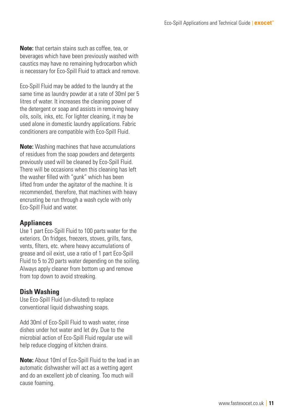**Note:** that certain stains such as coffee, tea, or beverages which have been previously washed with caustics may have no remaining hydrocarbon which is necessary for Eco-Spill Fluid to attack and remove.

Eco-Spill Fluid may be added to the laundry at the same time as laundry powder at a rate of 30ml per 5 litres of water. It increases the cleaning power of the detergent or soap and assists in removing heavy oils, soils, inks, etc. For lighter cleaning, it may be used alone in domestic laundry applications. Fabric conditioners are compatible with Eco-Spill Fluid.

**Note:** Washing machines that have accumulations of residues from the soap powders and detergents previously used will be cleaned by Eco-Spill Fluid. There will be occasions when this cleaning has left the washer filled with "gunk" which has been lifted from under the agitator of the machine. It is recommended, therefore, that machines with heavy encrusting be run through a wash cycle with only Eco-Spill Fluid and water.

# **Appliances**

Use 1 part Eco-Spill Fluid to 100 parts water for the exteriors. On fridges, freezers, stoves, grills, fans, vents, filters, etc. where heavy accumulations of grease and oil exist, use a ratio of 1 part Eco-Spill Fluid to 5 to 20 parts water depending on the soiling. Always apply cleaner from bottom up and remove from top down to avoid streaking.

# **Dish Washing**

Use Eco-Spill Fluid (un-diluted) to replace conventional liquid dishwashing soaps.

Add 30ml of Eco-Spill Fluid to wash water, rinse dishes under hot water and let dry. Due to the microbial action of Eco-Spill Fluid regular use will help reduce clogging of kitchen drains.

**Note:** About 10ml of Eco-Spill Fluid to the load in an automatic dishwasher will act as a wetting agent and do an excellent job of cleaning. Too much will cause foaming.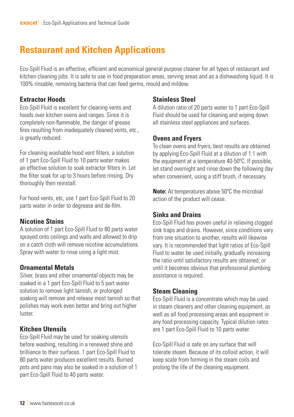# **Restaurant and Kitchen Applications**

Eco-Spill Fluid is an effective, efficient and economical general purpose cleaner for all types of restaurant and kitchen cleaning jobs. It is safe to use in food preparation areas, serving areas and as a dishwashing liquid. It is 100% rinsable, removing bacteria that can feed germs, mould and mildew.

#### **Extractor Hoods**

Eco-Spill Fluid is excellent for cleaning vents and hoods over kitchen ovens and ranges. Since it is completely non-flammable, the danger of grease fires resulting from inadequately cleaned vents, etc., is greatly reduced.

For cleaning washable hood vent filters, a solution of 1 part Eco-Spill Fluid to 10 parts water makes an effective solution to soak extractor filters in. Let the filter soak for up to 3 hours before rinsing. Dry thoroughly then reinstall.

For hood vents, etc, use 1 part Eco-Spill Fluid to 20 parts water in order to degrease and de-film.

# **Nicotine Stains**

A solution of 1 part Eco-Spill Fluid to 80 parts water sprayed onto ceilings and walls and allowed to drip on a catch cloth will remove nicotine accumulations. Spray with water to rinse using a light mist.

# **Ornamental Metals**

Silver, brass and other ornamental objects may be soaked in a 1 part Eco-Spill Fluid to 5 part water solution to remove light tarnish, or prolonged soaking will remove and release most tarnish so that polishes may work even better and bring out higher luster.

# **Kitchen Utensils**

Eco-Spill Fluid may be used for soaking utensils before washing, resulting in a renewed shine and brilliance to their surfaces. 1 part Eco-Spill Fluid to 80 parts water produces excellent results. Burned pots and pans may also be soaked in a solution of 1 part Eco-Spill Fluid to 40 parts water.

# **Stainless Steel**

A dilution ratio of 20 parts water to 1 part Eco-Spill Fluid should be used for cleaning and wiping down all stainless steel appliances and surfaces.

#### **Ovens and Fryers**

To clean ovens and fryers, best results are obtained by applying Eco-Spill Fluid at a dilution of 1:1 with the equipment at a temperature 40-50ºC. If possible, let stand overnight and rinse down the following day when convenient, using a stiff brush, if necessary.

**Note:** At temperatures above 50ºC the microbial action of the product will cease.

# **Sinks and Drains**

Eco-Spill Fluid has proven useful in relieving clogged sink traps and drains. However, since conditions vary from one situation to another, results will likewise vary. It is recommended that light ratios of Eco-Spill Fluid to water be used initially, gradually increasing the ratio until satisfactory results are obtained, or until it becomes obvious that professional plumbing assistance is required.

# **Steam Cleaning**

Eco-Spill Fluid is a concentrate which may be used in steam cleaners and other cleaning equipment, as well as all food processing areas and equipment in any food processing capacity. Typical dilution rates are 1 part Eco-Spill Fluid to 10 parts water.

Eco-Spill Fluid is safe on any surface that will tolerate steam. Because of its colloid action, it will keep scale from forming in the steam coils and prolong the life of the cleaning equipment.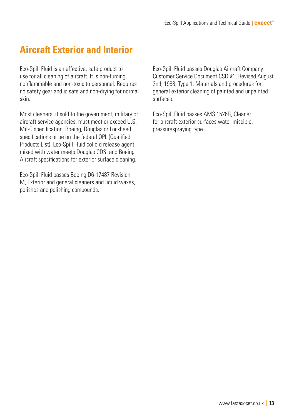# **Aircraft Exterior and Interior**

Eco-Spill Fluid is an effective, safe product to use for all cleaning of aircraft. It is non-fuming, nonflammable and non-toxic to personnel. Requires no safety gear and is safe and non-drying for normal skin.

Most cleaners, if sold to the government, military or aircraft service agencies, must meet or exceed U.S. Mil-C specification, Boeing, Douglas or Lockheed specifications or be on the federal QPL (Qualified Products List). Eco-Spill Fluid colloid release agent mixed with water meets Douglas CDSI and Boeing Aircraft specifications for exterior surface cleaning.

Eco-Spill Fluid passes Boeing D6-17487 Revision M, Exterior and general cleaners and liquid waxes, polishes and polishing compounds.

Eco-Spill Fluid passes Douglas Aircraft Company Customer Service Document CSD #1, Revised August 2nd, 1988, Type 1: Materials and procedures for general exterior cleaning of painted and unpainted surfaces.

Eco-Spill Fluid passes AMS 1526B, Cleaner for aircraft exterior surfaces water miscible, pressurespraying type.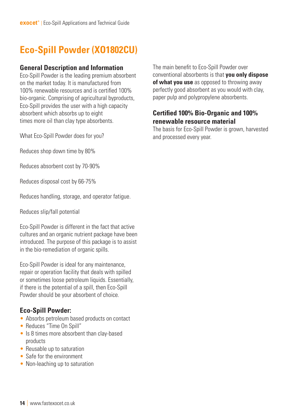# **Eco-Spill Powder (XO1802CU)**

#### **General Description and Information**

Eco-Spill Powder is the leading premium absorbent on the market today. It is manufactured from 100% renewable resources and is certified 100% bio-organic. Comprising of agricultural byproducts, Eco-Spill provides the user with a high capacity absorbent which absorbs up to eight times more oil than clay type absorbents.

What Eco-Spill Powder does for you?

Reduces shop down time by 80%

Reduces absorbent cost by 70-90%

Reduces disposal cost by 66-75%

Reduces handling, storage, and operator fatigue.

Reduces slip/fall potential

Eco-Spill Powder is different in the fact that active cultures and an organic nutrient package have been introduced. The purpose of this package is to assist in the bio-remediation of organic spills.

Eco-Spill Powder is ideal for any maintenance, repair or operation facility that deals with spilled or sometimes loose petroleum liquids. Essentially, if there is the potential of a spill, then Eco-Spill Powder should be your absorbent of choice.

# **Eco-Spill Powder:**

- Absorbs petroleum based products on contact
- Reduces "Time On Spill"
- Is 8 times more absorbent than clay-based products
- Reusable up to saturation
- Safe for the environment
- Non-leaching up to saturation

The main benefit to Eco-Spill Powder over conventional absorbents is that **you only dispose of what you use** as opposed to throwing away perfectly good absorbent as you would with clay, paper pulp and polypropylene absorbents.

# **Certified 100% Bio-Organic and 100% renewable resource material**

The basis for Eco-Spill Powder is grown, harvested and processed every year.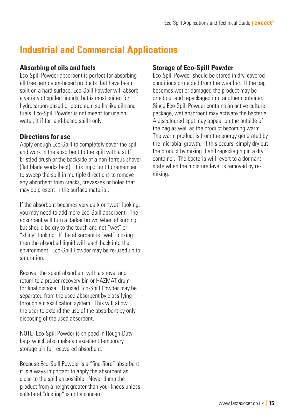# **Industrial and Commercial Applications**

# **Absorbing of oils and fuels**

Eco-Spill Powder absorbent is perfect for absorbing all free petroleum-based products that have been spilt on a hard surface. Eco-Spill Powder will absorb a variety of spilled liquids, but is most suited for hydrocarbon-based or petroleum spills like oils and fuels. Eco-Spill Powder is not meant for use on water, it if for land-based spills only.

# **Directions for use**

Apply enough Eco-Spill to completely cover the spill and work in the absorbent to the spill with a stiff bristled brush or the backside of a non-ferrous shovel (flat blade works best). It is important to remember to sweep the spill in multiple directions to remove any absorbent from cracks, crevasses or holes that may be present in the surface material.

If the absorbent becomes very dark or "wet" looking, you may need to add more Eco-Spill absorbent. The absorbent will turn a darker brown when absorbing, but should be dry to the touch and not "wet" or "shiny" looking. If the absorbent is "wet" looking then the absorbed liquid will leach back into the environment. Eco-Spill Powder may be re-used up to saturation.

Recover the spent absorbent with a shovel and return to a proper recovery bin or HAZMAT drum for final disposal. Unused Eco-Spill Powder may be separated from the used absorbent by classifying through a classification system. This will allow the user to extend the use of the absorbent by only disposing of the used absorbent.

NOTE- Eco-Spill Powder is shipped in Rough-Duty bags which also make an excellent temporary storage bin for recovered absorbent.

Because Eco-Spill Powder is a "fine-fibre" absorbent it is always important to apply the absorbent as close to the spill as possible. Never dump the product from a height greater than your knees unless collateral "dusting" is not a concern.

# **Storage of Eco-Spill Powder**

Eco-Spill Powder should be stored in dry, covered conditions protected from the weather. If the bag becomes wet or damaged the product may be dried out and repackaged into another container. Since Eco-Spill Powder contains an active culture package, wet absorbent may activate the bacteria. A discoloured spot may appear on the outside of the bag as well as the product becoming warm. The warm product is from the energy generated by the microbial growth. If this occurs, simply dry out the product by mixing it and repackaging in a dry container. The bacteria will revert to a dormant state when the moisture level is removed by remixing.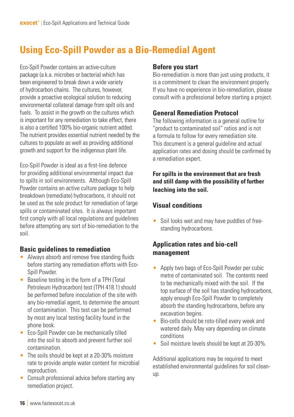# **Using Eco-Spill Powder as a Bio-Remedial Agent**

Eco-Spill Powder contains an active-culture package (a.k.a. microbes or bacteria) which has been engineered to break down a wide variety of hydrocarbon chains. The cultures, however, provide a proactive ecological solution to reducing environmental collateral damage from spilt oils and fuels. To assist in the growth on the cultures which is important for any remediation to take effect, there is also a certified 100% bio-organic nutrient added. The nutrient provides essential nutrient needed by the cultures to populate as well as providing additional growth and support for the indigenous plant life.

Eco-Spill Powder is ideal as a first-line defence for providing additional environmental impact due to spills in soil environments. Although Eco-Spill Powder contains an active culture package to help breakdown (remediate) hydrocarbons, it should not be used as the sole product for remediation of large spills or contaminated sites. It is always important first comply with all local regulations and guidelines before attempting any sort of bio-remediation to the soil.

# **Basic guidelines to remediation**

- Always absorb and remove free standing fluids before starting any remediation efforts with Eco-Spill Powder.
- Baseline testing in the form of a TPH (Total Petroleum Hydrocarbon) test (TPH 418.1) should be performed before inoculation of the site with any bio-remedial agent, to determine the amount of contamination. This test can be performed by most any local testing facility found in the phone book.
- Eco-Spill Powder can be mechanically tilled into the soil to absorb and prevent further soil contamination.
- The soils should be kept at a 20-30% moisture rate to provide ample water content for microbial reproduction.
- Consult professional advice before starting any remediation project.

#### **Before you start**

Bio-remediation is more than just using products, it is a commitment to clean the environment properly. If you have no experience in bio-remediation, please consult with a professional before starting a project.

# **General Remediation Protocol**

The following information is a general outline for "product to contaminated soil" ratios and is not a formula to follow for every remediation site. This document is a general guideline and actual application rates and dosing should be confirmed by a remediation expert.

### **For spills in the environment that are fresh and still damp with the possibility of further leaching into the soil.**

# **Visual conditions**

• Soil looks wet and may have puddles of freestanding hydrocarbons.

# **Application rates and bio-cell management**

- Apply two bags of Eco-Spill Powder per cubic metre of contaminated soil. The contents need to be mechanically mixed with the soil. If the top surface of the soil has standing hydrocarbons, apply enough Eco-Spill Powder to completely absorb the standing hydrocarbons, before any excavation begins.
- Bio-cells should be roto-tilled every week and watered daily. May vary depending on climate conditions
- Soil moisture levels should be kept at 20-30%.

Additional applications may be required to meet established environmental guidelines for soil cleanup.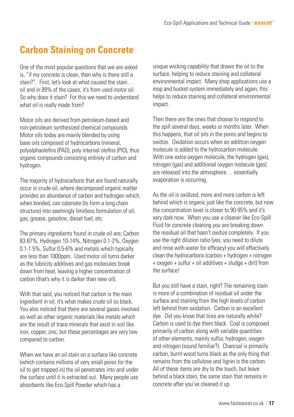# **Carbon Staining on Concrete**

One of the most popular questions that we are asked is, "if my concrete is clean, then why is there still a stain?". First, let's look at what caused the stain oil and in 99% of the cases, it's from used motor oil. So why does it stain? For this we need to understand what oil is really made from?

Motor oils are derived from petroleum-based and non-petroleum synthesized chemical compounds. Motor oils today are mainly blended by using base oils composed of hydrocarbons (mineral, polyalphaolefins (PAO), poly internal olefins (PIO), thus organic compounds consisting entirely of carbon and hydrogen.

The majority of hydrocarbons that are found naturally occur in crude oil, where decomposed organic matter provides an abundance of carbon and hydrogen which, when bonded, can catenate (to form a long chain structure) into seemingly limitless formulation of oil, gas, grease, gasoline, diesel fuel, etc.

The primary ingredients found in crude oil are; Carbon 83-87%, Hydrogen 10-14%, Nitrogen 0.1-2%, Oxygen 0.1-1.5%, Sulfur 0.5-6% and metals which typically are less than 1000ppm. Used motor oil turns darker as the lubricity additives and gas molecules break down from heat, leaving a higher concentration of carbon (that's why it is darker than new oil).

With that said, you noticed that carbon is the main ingredient in oil; it's what makes crude oil so black. You also noticed that there are several gases involved as well as other organic materials like metals which are the result of trace minerals that exist in soil like iron, copper, zinc, but these percentages are very low compared to carbon.

When we have an oil stain on a surface like concrete (which contains millions of very small pores for the oil to get trapped in) the oil penetrates into and under the surface until it is extracted out. Many people use absorbents like Eco-Spill Powder which has a

unique wicking capability that draws the oil to the surface, helping to reduce staining and collateral environmental impact. Many shop applications use a mop and bucket system immediately and again, this helps to reduce staining and collateral environmental impact.

Then there are the ones that choose to respond to the spill several days, weeks or months later. When this happens, that oil sits in the pores and begins to oxidize. Oxidation occurs when an addition oxygen molecule is added to the hydrocarbon molecule. With one extra oxygen molecule, the hydrogen (gas), nitrogen (gas) and additional oxygen molecule (gas) are released into the atmosphere… essentially evaporation is occurring.

As the oil is oxidized, more and more carbon is left behind which is organic just like the concrete, but now the concentration level is closer to 90-95% and it's very dark now. When you use a cleaner like Eco-Spill Fluid for concrete cleaning you are breaking down the residual oil that hasn't oxidize completely. If you use the right dilution ratio (yes, you need to dilute and rinse with water for efficacy) you will effectively clean the hydrocarbons (carbon + hydrogen + nitrogen + oxygen + sulfur + oil additives + sludge + dirt) from the surface!

But you still have a stain, right? The remaining stain is more of a combination of residual oil under the surface and staining from the high levels of carbon left behind from oxidation. Carbon is an excellent dye. Did you know that tires are naturally white? Carbon is used to dye them black. Coal is composed primarily of carbon along with variable quantities of other elements, mainly sulfur, hydrogen, oxygen and nitrogen (sound familiar?). Charcoal is primarily carbon, burnt wood turns black as the only thing that remains from the cellulose and lignin is the carbon. All of these items are dry to the touch, but leave behind a black stain, the same stain that remains in concrete after you've cleaned it up.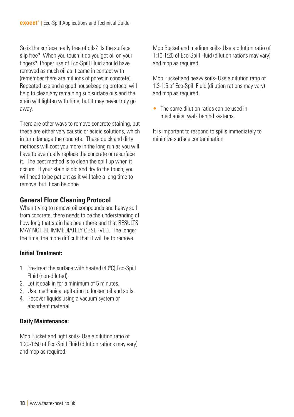So is the surface really free of oils? Is the surface slip free? When you touch it do you get oil on your fingers? Proper use of Eco-Spill Fluid should have removed as much oil as it came in contact with (remember there are millions of pores in concrete). Repeated use and a good housekeeping protocol will help to clean any remaining sub surface oils and the stain will lighten with time, but it may never truly go away.

There are other ways to remove concrete staining, but these are either very caustic or acidic solutions, which in turn damage the concrete. These quick and dirty methods will cost you more in the long run as you will have to eventually replace the concrete or resurface it. The best method is to clean the spill up when it occurs. If your stain is old and dry to the touch, you will need to be patient as it will take a long time to remove, but it can be done.

# **General Floor Cleaning Protocol**

When trying to remove oil compounds and heavy soil from concrete, there needs to be the understanding of how long that stain has been there and that RESULTS MAY NOT BE IMMEDIATELY OBSERVED. The longer the time, the more difficult that it will be to remove.

#### **Initial Treatment:**

- 1. Pre-treat the surface with heated (40ºC) Eco-Spill Fluid (non-diluted).
- 2. Let it soak in for a minimum of 5 minutes.
- 3. Use mechanical agitation to loosen oil and soils.
- 4. Recover liquids using a vacuum system or absorbent material.

#### **Daily Maintenance:**

Mop Bucket and light soils- Use a dilution ratio of 1:20-1:50 of Eco-Spill Fluid (dilution rations may vary) and mop as required.

Mop Bucket and medium soils- Use a dilution ratio of 1:10-1:20 of Eco-Spill Fluid (dilution rations may vary) and mop as required.

Mop Bucket and heavy soils- Use a dilution ratio of 1:3-1:5 of Eco-Spill Fluid (dilution rations may vary) and mop as required.

• The same dilution ratios can be used in mechanical walk behind systems.

It is important to respond to spills immediately to minimize surface contamination.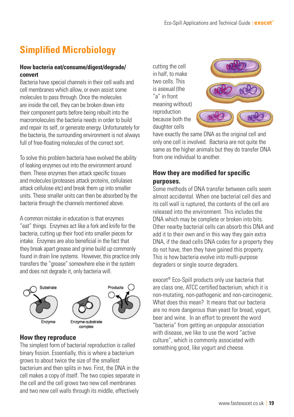# **Simplified Microbiology**

#### **How bacteria eat/consume/digest/degrade/ convert**

Bacteria have special channels in their cell walls and cell membranes which allow, or even assist some molecules to pass through. Once the molecules are inside the cell, they can be broken down into their component parts before being rebuilt into the macromolecules the bacteria needs in order to build and repair its self, or generate energy. Unfortunately for the bacteria, the surrounding environment is not always full of free-floating molecules of the correct sort.

To solve this problem bacteria have evolved the ability of leaking enzymes out into the environment around them. These enzymes then attack specific tissues and molecules (proteases attack proteins, cellulases attack cellulose etc) and break them up into smaller units. These smaller units can then be absorbed by the bacteria through the channels mentioned above.

A common mistake in education is that enzymes "eat" things. Enzymes act like a fork and knife for the bacteria, cutting up their food into smaller pieces for intake. Enzymes are also beneficial in the fact that they break apart grease and grime build up commonly found in drain line systems. However, this practice only transfers the "grease" somewhere else in the system and does not degrade it, only bacteria will.



#### **How they reproduce**

The simplest form of bacterial reproduction is called binary fission. Essentially, this is where a bacterium grows to about twice the size of the smallest bacterium and then splits in two. First, the DNA in the cell makes a copy of itself. The two copies separate in the cell and the cell grows two new cell membranes and two new cell walls through its middle, effectively

cutting the cell in half, to make two cells. This is asexual (the "a" in front meaning without) reproduction because both the daughter cells



have exactly the same DNA as the original cell and only one cell is involved. Bacteria are not quite the same as the higher animals but they do transfer DNA from one individual to another.

# **How they are modified for specific purposes.**

Some methods of DNA transfer between cells seem almost accidental. When one bacterial cell dies and its cell wall is ruptured, the contents of the cell are released into the environment. This includes the DNA which may be complete or broken into bits. Other nearby bacterial cells can absorb this DNA and add it to their own and in this way they gain extra DNA, if the dead cells DNA codes for a property they do not have, then they have gained this property. This is how bacteria evolve into multi-purpose degraders or single source degraders.

exocet® Eco-Spill products only use bacteria that are class one, ATCC certified bacterium, which it is non-mutating, non-pathogenic and non-carcinogenic. What does this mean? It means that our bacteria are no more dangerous than yeast for bread, yogurt, beer and wine. In an effort to prevent the word "bacteria" from getting an unpopular association with disease, we like to use the word "active culture", which is commonly associated with something good, like yogurt and cheese.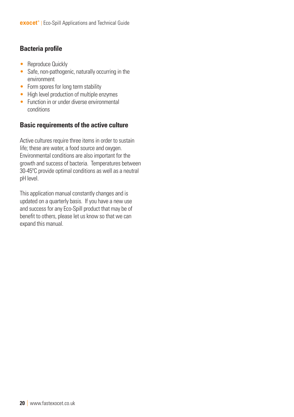# **Bacteria profile**

- Reproduce Quickly
- Safe, non-pathogenic, naturally occurring in the environment
- Form spores for long term stability
- High level production of multiple enzymes
- Function in or under diverse environmental conditions

# **Basic requirements of the active culture**

Active cultures require three items in order to sustain life; these are water, a food source and oxygen. Environmental conditions are also important for the growth and success of bacteria. Temperatures between 30-45ºC provide optimal conditions as well as a neutral pH level.

This application manual constantly changes and is updated on a quarterly basis. If you have a new use and success for any Eco-Spill product that may be of benefit to others, please let us know so that we can expand this manual.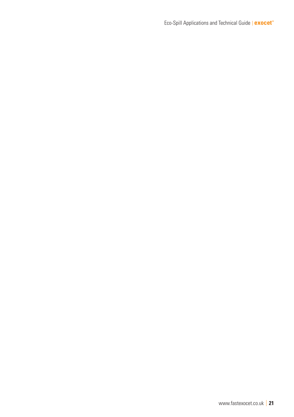Eco-Spill Applications and Technical Guide | **exocet**<sup>®</sup>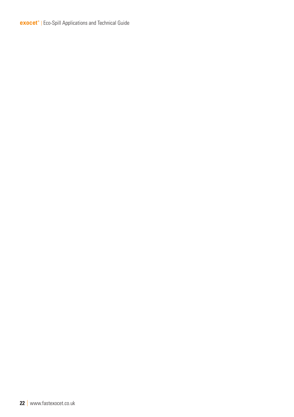**exocet**<sup>®</sup> | Eco-Spill Applications and Technical Guide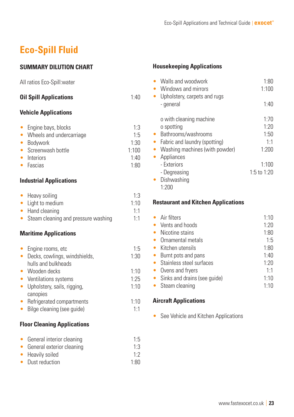# **Eco-Spill Fluid**

# **SUMMARY DILUTION CHART**

#### All ratios Eco-Spill:water

#### **Oil Spill Applications** 1:40

#### **Vehicle Applications**

| • Engine bays, blocks      | 1:3   |
|----------------------------|-------|
| • Wheels and undercarriage | 1.5   |
| • Bodywork                 | 1:30  |
| • Screenwash bottle        | 1:100 |
| • Interiors                | 1.40  |

• Fascias 1:80

#### **Industrial Applications**

| • Heavy soiling   | 1:3  |
|-------------------|------|
| • Light to medium | 1:10 |
| • Hand cleaning   | 1:1  |
|                   |      |

• Steam cleaning and pressure washing 1:1

#### **Maritime Applications**

- Engine rooms, etc 1:5
- Decks, cowlings, windshields, 1:30 hulls and bulkheads
- Wooden decks 1:10
- Ventilations systems 1:25
- Upholstery, sails, rigging, 1:10 canopies
- Refrigerated compartments 1:10
- Bilge cleaning (see guide) 1:1

#### **Floor Cleaning Applications**

| General interior cleaning    | 1:5 |
|------------------------------|-----|
| المعالم مطالب متحصين المسموط |     |

- General exterior cleaning and the state 1:3
- Heavily soiled 1:2 • Dust reduction 1:80

# **Housekeeping Applications**

|           | Walls and woodwork<br>Windows and mirrors | 1:80<br>1:100 |
|-----------|-------------------------------------------|---------------|
|           | Upholstery, carpets and rugs              |               |
|           | - general                                 | 1:40          |
|           | o with cleaning machine                   | 1:70          |
|           | o spotting                                | 1:20          |
|           | Bathrooms/washrooms                       | 1:50          |
| $\bullet$ | Fabric and laundry (spotting)             | 1:1           |
|           | Washing machines (with powder)            | 1:200         |
|           | Appliances                                |               |
|           | - Exteriors                               | 1:100         |
|           | - Degreasing                              | 1:5 to $1:20$ |
|           | Dishwashing                               |               |
|           | 1:200                                     |               |

#### **Restaurant and Kitchen Applications**

| Air filters                  | 1:10 |
|------------------------------|------|
| Vents and hoods              | 1:20 |
| Nicotine stains              | 1:80 |
| Ornamental metals            | 1:5  |
| Kitchen utensils             | 1:80 |
| Burnt pots and pans          | 1:40 |
| Stainless steel surfaces     | 1:20 |
| Ovens and fryers             | 1:1  |
| Sinks and drains (see guide) | 1:10 |
| Steam cleaning               | 1:10 |

#### **Aircraft Applications**

• See Vehicle and Kitchen Applications